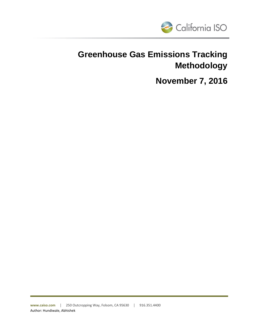

# **Greenhouse Gas Emissions Tracking Methodology**

**November 7, 2016**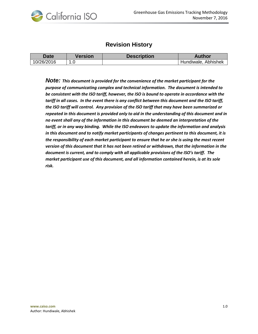

## **Revision History**

| <b>Date</b> | Version | <b>Description</b> | <b>Author</b>       |
|-------------|---------|--------------------|---------------------|
| 10/26/2016  |         |                    | Hundiwale, Abhishek |

*Note: This document is provided for the convenience of the market participant for the purpose of communicating complex and technical information. The document is intended to be consistent with the ISO tariff, however, the ISO is bound to operate in accordance with the tariff in all cases. In the event there is any conflict between this document and the ISO tariff, the ISO tariff will control. Any provision of the ISO tariff that may have been summarized or repeated in this document is provided only to aid in the understanding of this document and in no event shall any of the information in this document be deemed an interpretation of the tariff, or in any way binding. While the ISO endeavors to update the information and analysis in this document and to notify market participants of changes pertinent to this document, it is the responsibility of each market participant to ensure that he or she is using the most recent version of this document that it has not been retired or withdrawn, that the information in the document is current, and to comply with all applicable provisions of the ISO's tariff. The market participant use of this document, and all information contained herein, is at its sole risk.*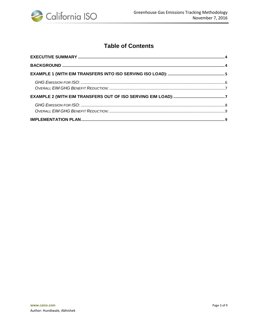

# **Table of Contents**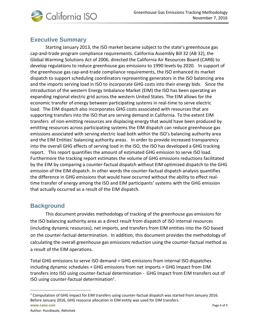

## <span id="page-3-0"></span>**Executive Summary**

Starting January 2013, the ISO market became subject to the state's greenhouse gas cap-and-trade program compliance requirements. California Assembly Bill 32 (AB 32), the Global Warming Solutions Act of 2006, directed the California Air Resources Board (CARB) to develop regulations to reduce greenhouse gas emissions to 1990 levels by 2020. In support of the greenhouse gas cap-and-trade compliance requirements, the ISO enhanced its market dispatch to support scheduling coordinators representing generators in the ISO balancing area and the imports serving load in ISO to incorporate GHG costs into their energy bids. Since the introduction of the western Energy Imbalance Market (EIM) the ISO has been operating an expanding regional electric grid across the western United States. The EIM allows for the economic transfer of energy between participating systems in real-time to serve electric load. The EIM dispatch also incorporates GHG costs associated with resources that are supporting transfers into the ISO that are serving demand in California. To the extent EIM transfers of non-emitting resources are displacing energy that would have been produced by emitting resources across participating systems the EIM dispatch can reduce greenhouse gas emissions associated with serving electric load both within the ISO's balancing authority area and the EIM Entities' balancing authority areas. In order to provide increased transparency into the overall GHG effects of serving load in the ISO, the ISO has developed a GHG tracking report. This report quantifies the amount of estimated GHG emission to serve ISO load. Furthermore the tracking report estimates the volume of GHG emissions reductions facilitated by the EIM by comparing a counter-factual dispatch without EIM optimized dispatch to the GHG emission of the EIM dispatch. In other words the counter-factual dispatch analysis quantifies the difference in GHG emissions that would have occurred without the ability to effect realtime transfer of energy among the ISO and EIM participants' systems with the GHG emission that actually occurred as a result of the EIM dispatch.

### <span id="page-3-1"></span>**Background**

This document provides methodology of tracking of the greenhouse gas emissions for the ISO balancing authority area as a direct result from dispatch of ISO internal resources (including dynamic resources), net imports, and transfers from EIM entities into the ISO based on the counter-factual determination. In addition, this document provides the methodology of calculating the overall greenhouse gas emissions reduction using the counter-factual method as a result of the EIM operations.

Total GHG emissions to serve ISO demand = GHG emissions from internal ISO dispatches including dynamic schedules + GHG emissions from net imports + GHG Impact from EIM transfers into ISO using counter-factual determination - GHG Impact from EIM transfers out of ISO using counter-factual determination<sup>1</sup>.

 $\overline{a}$ 

**www.caiso.com** Page 4 of 9 <sup>1</sup> Computation of GHG impact for EIM transfers using counter-factual dispatch was started from January 2016. Before January 2016, GHG resource allocation in EIM entity was used for EIM transfers.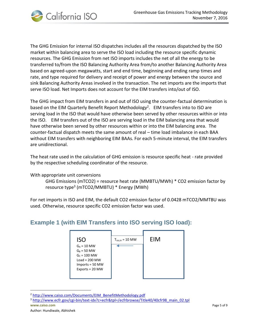

The GHG Emission for internal ISO dispatches includes all the resources dispatched by the ISO market within balancing area to serve the ISO load including the resource specific dynamic resources. The GHG Emission from net ISO imports includes the net of all the energy to be transferred to/from the ISO Balancing Authority Area from/to another Balancing Authority Area based on agreed-upon megawatts, start and end time, beginning and ending ramp times and rate, and type required for delivery and receipt of power and energy between the source and sink Balancing Authority Areas involved in the transaction. The net imports are the imports that serve ISO load. Net Imports does not account for the EIM transfers into/out of ISO.

The GHG impact from EIM transfers in and out of ISO using the counter-factual determination is based on the EIM Quarterly Benefit Report Methodology<sup>2</sup>. EIM transfers into to ISO are serving load in the ISO that would have otherwise been served by other resources within or into the ISO. EIM transfers out of the ISO are serving load in the EIM balancing area that would have otherwise been served by other resources within or into the EIM balancing area. The counter-factual dispatch meets the same amount of real – time load imbalance in each BAA without EIM transfers with neighboring EIM BAAs. For each 5-minute interval, the EIM transfers are unidirectional.

The heat rate used in the calculation of GHG emission is resource specific heat - rate provided by the respective scheduling coordinator of the resource.

With appropriate unit conversions

GHG Emissions (mTCO2) = resource heat rate (MMBTU/MWh) \* CO2 emission factor by resource type<sup>3</sup> (mTCO2/MMBTU) \* Energy (MWh)

For net imports in ISO and EIM, the default CO2 emission factor of 0.0428 mTCO2/MMTBU was used. Otherwise, resource specific CO2 emission factor was used.

## <span id="page-4-0"></span>**Example 1 (with EIM Transfers into ISO serving ISO load):**



<sup>2</sup> [http://www.caiso.com/Documents/EIM\\_BenefitMethodology.pdf](http://www.caiso.com/Documents/EIM_BenefitMethodology.pdf)

 $\overline{a}$ 

**www.caiso.com** Page 5 of 9 <sup>3</sup> [http://www.ecfr.gov/cgi-bin/text-idx?c=ecfr&tpl=/ecfrbrowse/Title40/40cfr98\\_main\\_02.tpl](http://www.ecfr.gov/cgi-bin/text-idx?c=ecfr&tpl=/ecfrbrowse/Title40/40cfr98_main_02.tpl)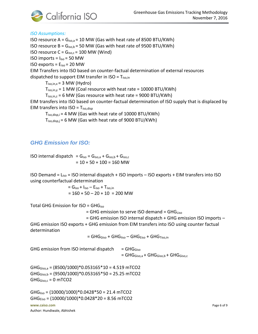

#### *ISO Assumptions:*

ISO resource A =  $G<sub>iso,a</sub>$  = 10 MW (Gas with heat rate of 8500 BTU/KWh) ISO resource  $B = G_{iso,b} = 50$  MW (Gas with heat rate of 9500 BTU/KWh) ISO resource  $C = G_{iso,c} = 100$  MW (Wind) ISO imports =  $I_{iso}$  = 50 MW ISO exports = Eiso = 20 MW EIM Transfers into ISO based on counter-factual determination of external resources dispatched to support EIM transfer in  $ISO = T_{iso,in}$  $T_{iso,in,x} = 3$  MW (Hydro)  $T_{iso,in,y} = 1$  MW (Coal resource with heat rate = 10000 BTU/KWh)  $T_{iso,in,z} = 6$  MW (Gas resource with heat rate = 9000 BTU/KWh) EIM transfers into ISO based on counter-factual determination of ISO supply that is displaced by EIM transfers into  $ISO = T_{iso,disp}$ 

 $T_{iso,disp,i} = 4 MW$  (Gas with heat rate of 10000 BTU/KWh)  $T_{iso,disp,i} = 6$  MW (Gas with heat rate of 9000 BTU/KWh)

#### <span id="page-5-0"></span>*GHG Emission for ISO:*

ISO internal dispatch =  $G_{iso} = G_{iso,a} + G_{iso,b} + G_{iso,c}$  $= 10 + 50 + 100 = 160$  MW

ISO Demand =  $L_{iso}$  = ISO internal dispatch + ISO imports – ISO exports + EIM transfers into ISO using counterfactual determination

> $= G<sub>iso</sub> + I<sub>iso</sub> - E<sub>iso</sub> + T<sub>iso,in</sub>$  $= 160 + 50 - 20 + 10 = 200$  MW

Total GHG Emission for  $ISO = GHG<sub>iso</sub>$ 

 $=$  GHG emission to serve ISO demand  $=$  GHG $_{Liso}$ 

= GHG emission ISO internal dispatch + GHG emission ISO imports –

GHG emission ISO exports + GHG emission from EIM transfers into ISO using counter factual determination

 $=$  GHG<sub>Giso</sub> + GHG<sub>liso</sub> – GHG<sub>Eiso</sub> + GHG<sub>Tiso,in</sub>

GHG emission from ISO internal dispatch  $=$  GHG $_{\text{Giso}}$  $=$  GHG<sub>Giso,a</sub> + GHG<sub>Giso,b</sub> + GHG<sub>Giso,c</sub>

 $GHG<sub>Giso,a</sub> = (8500/1000)*0.053165*10 = 4.519 mTCO2$  $GHG_{Giso,b} = (9500/1000)*0.053165*50 = 25.25 mTCO2$  $GHG_{Giso,c} = 0$  mTCO2

**www.caiso.com** Page 6 of 9 Author: Hundiwale, Abhishek  $GHG<sub>liso</sub> = (10000/1000)*0.0428*50 = 21.4 mTCO2$  $GHG<sub>Eiso</sub> = (10000/1000)*0.0428*20 = 8.56 mTCO2$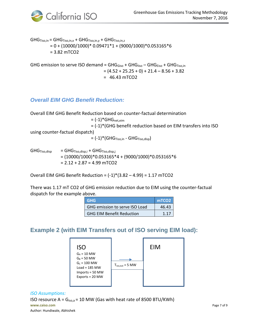

 $\mathsf{GHG}_{\mathsf{Tiso,in}} = \mathsf{GHG}_{\mathsf{Tiso,in,x}} + \mathsf{GHG}_{\mathsf{Tiso,in,y}} + \mathsf{GHG}_{\mathsf{Tiso,in,z}}$  $= 0 + (10000/1000)^* 0.09471*1 + (9000/1000)^* 0.053165*6$ = 3.82 mTCO2

GHG emission to serve ISO demand =  $GHG<sub>Giso</sub> + GHG<sub>liso</sub> - GHG<sub>Eiso</sub> + GHG<sub>Tiso,in</sub>$  $=(4.52 + 25.25 + 0) + 21.4 - 8.56 + 3.82$  $= 46.43$  mTCO2

### <span id="page-6-0"></span>*Overall EIM GHG Benefit Reduction:*

Overall EIM GHG Benefit Reduction based on counter-factual determination  $= (-1)^*$ GHG<sub>net,eim</sub> = (-1)\*(GHG benefit reduction based on EIM transfers into ISO using counter-factual dispatch)  $= (-1)^*$ (GHG $_{Tiso,in}$  - GHG $_{Tiso,disp}$ )

 $GHG_{Tiso,disp} = GHG_{Tiso,disp,i} + GHG_{Tiso,disp,i}$  $=(10000/1000)*0.053165*4+(9000/1000)*0.053165*6$  $= 2.12 + 2.87 = 4.99$  mTCO2

Overall EIM GHG Benefit Reduction =  $(-1)^*(3.82 - 4.99) = 1.17$  mTCO2

There was 1.17 mT CO2 of GHG emission reduction due to EIM using the counter-factual dispatch for the example above.

| <b>GHG</b>                       | mTCO <sub>2</sub> |
|----------------------------------|-------------------|
| GHG emission to serve ISO Load   | 46.43             |
| <b>GHG EIM Benefit Reduction</b> |                   |

## <span id="page-6-1"></span>**Example 2 (with EIM Transfers out of ISO serving EIM load):**



#### *ISO Assumptions:*

**www.caiso.com** Page 7 of 9 Author: Hundiwale, Abhishek ISO resource  $A = G_{iso,a} = 10$  MW (Gas with heat rate of 8500 BTU/KWh)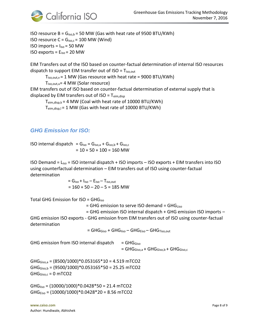



ISO resource  $B = G_{iso,b} = 50$  MW (Gas with heat rate of 9500 BTU/KWh) ISO resource  $C = G_{iso,c} = 100$  MW (Wind) ISO imports =  $I_{iso}$  = 50 MW ISO exports =  $E_{iso}$  = 20 MW

EIM Transfers out of the ISO based on counter-factual determination of internal ISO resources dispatch to support EIM transfer out of  $ISO = T_{iso,out}$ 

 $T_{iso,out,v}$  = 1 MW (Gas resource with heat rate = 9000 BTU/KWh)

 $T_{iso.out.u}$ = 4 MW (Solar resource)

EIM transfers out of ISO based on counter-factual determination of external supply that is displaced by EIM transfers out of  $ISO = T_{eim.diso}$ 

 $T_{\text{eim,disp,k}} = 4$  MW (Coal with heat rate of 10000 BTU/KWh)

 $T_{\text{eim.diso,I}}$  = 1 MW (Gas with heat rate of 10000 BTU/KWh)

#### <span id="page-7-0"></span>*GHG Emission for ISO:*

ISO internal dispatch =  $G_{iso} = G_{iso,a} + G_{iso,b} + G_{iso,c}$  $= 10 + 50 + 100 = 160$  MW

ISO Demand =  $L_{iso}$  = ISO internal dispatch + ISO imports – ISO exports + EIM transfers into ISO using counterfactual determination – EIM transfers out of ISO using counter-factual determination

> $= G<sub>iso</sub> + I<sub>iso</sub> - E<sub>iso</sub> - T<sub>iso,out</sub>$  $= 160 + 50 - 20 - 5 = 185$  MW

Total GHG Emission for  $ISO = GHG<sub>iso</sub>$ 

 $=$  GHG emission to serve ISO demand  $=$  GHG $_{Liso}$ 

= GHG emission ISO internal dispatch + GHG emission ISO imports –

GHG emission ISO exports - GHG emission from EIM transfers out of ISO using counter-factual determination

 $=$  GHG<sub>Giso</sub> + GHG<sub>liso</sub> – GHG<sub>Eiso</sub> – GHG<sub>Tiso,out</sub>

GHG emission from ISO internal dispatch  $=$  GHG $_{\text{Giso}}$ 

 $=$  GHG $_{\text{Giso,a}}$  + GHG $_{\text{Giso,b}}$  + GHG $_{\text{Giso,c}}$ 

 $GHG<sub>Giso,a</sub> = (8500/1000)*0.053165*10 = 4.519$  mTCO2  $GHG_{Giso,b} = (9500/1000)^*0.053165*50 = 25.25 mTCO2$  $GHG_{Giso,c} = 0$  mTCO2

 $GHG<sub>liso</sub> = (10000/1000)*0.0428*50 = 21.4 mTCO2$  $GHG<sub>Eiso</sub> = (10000/1000)*0.0428*20 = 8.56 mTCO2$